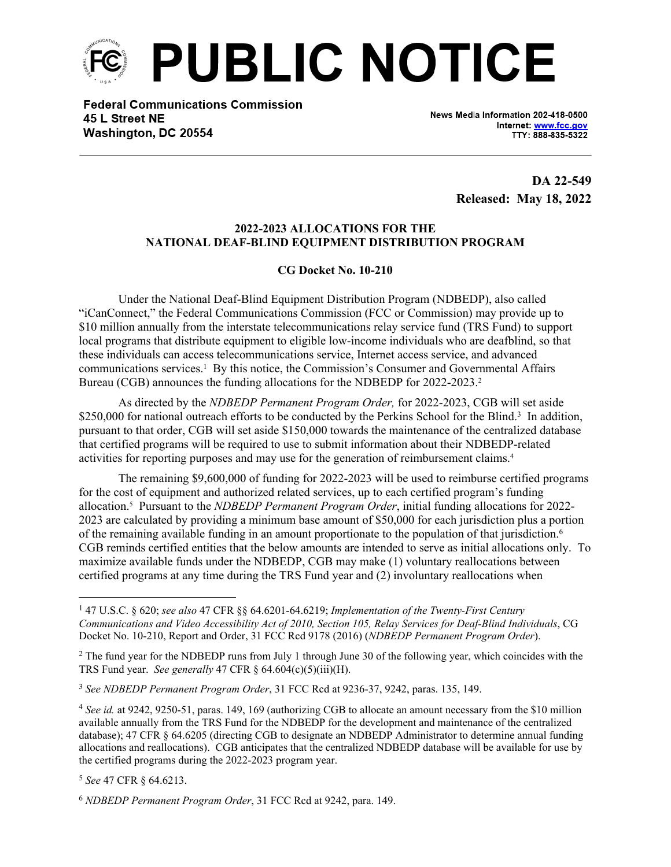

**Federal Communications Commission** 45 L Street NE Washington, DC 20554

News Media Information 202-418-0500 Internet: www.fcc.gov TTY: 888-835-5322

> **DA 22-549 Released: May 18, 2022**

## **2022-2023 ALLOCATIONS FOR THE NATIONAL DEAF-BLIND EQUIPMENT DISTRIBUTION PROGRAM**

## **CG Docket No. 10-210**

Under the National Deaf-Blind Equipment Distribution Program (NDBEDP), also called "iCanConnect," the Federal Communications Commission (FCC or Commission) may provide up to \$10 million annually from the interstate telecommunications relay service fund (TRS Fund) to support local programs that distribute equipment to eligible low-income individuals who are deafblind, so that these individuals can access telecommunications service, Internet access service, and advanced communications services.<sup>1</sup> By this notice, the Commission's Consumer and Governmental Affairs Bureau (CGB) announces the funding allocations for the NDBEDP for 2022-2023.<sup>2</sup>

As directed by the *NDBEDP Permanent Program Order,* for 2022-2023, CGB will set aside \$250,000 for national outreach efforts to be conducted by the Perkins School for the Blind.<sup>3</sup> In addition, pursuant to that order, CGB will set aside \$150,000 towards the maintenance of the centralized database that certified programs will be required to use to submit information about their NDBEDP-related activities for reporting purposes and may use for the generation of reimbursement claims.<sup>4</sup>

The remaining \$9,600,000 of funding for 2022-2023 will be used to reimburse certified programs for the cost of equipment and authorized related services, up to each certified program's funding allocation.<sup>5</sup> Pursuant to the *NDBEDP Permanent Program Order*, initial funding allocations for 2022- 2023 are calculated by providing a minimum base amount of \$50,000 for each jurisdiction plus a portion of the remaining available funding in an amount proportionate to the population of that jurisdiction.<sup>6</sup> CGB reminds certified entities that the below amounts are intended to serve as initial allocations only. To maximize available funds under the NDBEDP, CGB may make (1) voluntary reallocations between certified programs at any time during the TRS Fund year and (2) involuntary reallocations when

<sup>5</sup> *See* 47 CFR § 64.6213.

<sup>1</sup> 47 U.S.C. § 620; *see also* 47 CFR §§ 64.6201-64.6219; *Implementation of the Twenty-First Century Communications and Video Accessibility Act of 2010, Section 105, Relay Services for Deaf-Blind Individuals*, CG Docket No. 10-210, Report and Order, 31 FCC Rcd 9178 (2016) (*NDBEDP Permanent Program Order*).

 $2$  The fund year for the NDBEDP runs from July 1 through June 30 of the following year, which coincides with the TRS Fund year. *See generally* 47 CFR § 64.604(c)(5)(iii)(H).

<sup>3</sup> *See NDBEDP Permanent Program Order*, 31 FCC Rcd at 9236-37, 9242, paras. 135, 149.

<sup>4</sup> *See id.* at 9242, 9250-51, paras. 149, 169 (authorizing CGB to allocate an amount necessary from the \$10 million available annually from the TRS Fund for the NDBEDP for the development and maintenance of the centralized database); 47 CFR § 64.6205 (directing CGB to designate an NDBEDP Administrator to determine annual funding allocations and reallocations). CGB anticipates that the centralized NDBEDP database will be available for use by the certified programs during the 2022-2023 program year.

<sup>6</sup> *NDBEDP Permanent Program Order*, 31 FCC Rcd at 9242, para. 149.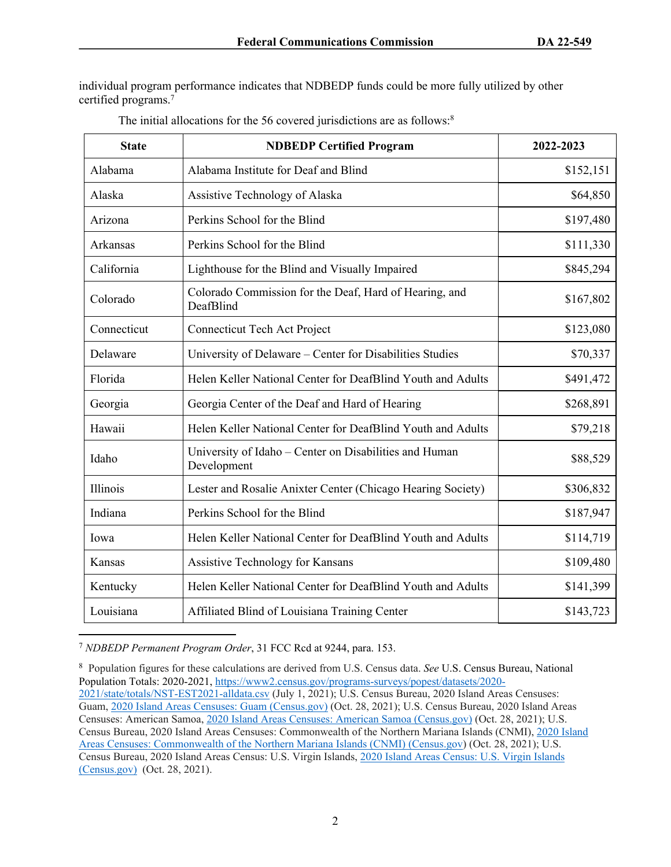individual program performance indicates that NDBEDP funds could be more fully utilized by other certified programs.<sup>7</sup>

| <b>State</b> | <b>NDBEDP Certified Program</b>                                       | 2022-2023 |
|--------------|-----------------------------------------------------------------------|-----------|
| Alabama      | Alabama Institute for Deaf and Blind                                  | \$152,151 |
| Alaska       | Assistive Technology of Alaska                                        | \$64,850  |
| Arizona      | Perkins School for the Blind                                          | \$197,480 |
| Arkansas     | Perkins School for the Blind                                          | \$111,330 |
| California   | Lighthouse for the Blind and Visually Impaired                        | \$845,294 |
| Colorado     | Colorado Commission for the Deaf, Hard of Hearing, and<br>DeafBlind   | \$167,802 |
| Connecticut  | <b>Connecticut Tech Act Project</b>                                   | \$123,080 |
| Delaware     | University of Delaware – Center for Disabilities Studies              | \$70,337  |
| Florida      | Helen Keller National Center for DeafBlind Youth and Adults           | \$491,472 |
| Georgia      | Georgia Center of the Deaf and Hard of Hearing                        | \$268,891 |
| Hawaii       | Helen Keller National Center for DeafBlind Youth and Adults           | \$79,218  |
| Idaho        | University of Idaho – Center on Disabilities and Human<br>Development | \$88,529  |
| Illinois     | Lester and Rosalie Anixter Center (Chicago Hearing Society)           | \$306,832 |
| Indiana      | Perkins School for the Blind                                          | \$187,947 |
| Iowa         | Helen Keller National Center for DeafBlind Youth and Adults           | \$114,719 |
| Kansas       | Assistive Technology for Kansans                                      | \$109,480 |
| Kentucky     | Helen Keller National Center for DeafBlind Youth and Adults           | \$141,399 |
| Louisiana    | Affiliated Blind of Louisiana Training Center                         | \$143,723 |

| The initial allocations for the 56 covered jurisdictions are as follows: <sup>8</sup> |  |
|---------------------------------------------------------------------------------------|--|
|---------------------------------------------------------------------------------------|--|

<sup>7</sup> *NDBEDP Permanent Program Order*, 31 FCC Rcd at 9244, para. 153.

8 Population figures for these calculations are derived from U.S. Census data. *See* U.S. Census Bureau, National Population Totals: 2020-2021, [https://www2.census.gov/programs-surveys/popest/datasets/2020-](https://www2.census.gov/programs-surveys/popest/datasets/2020-2021/state/totals/NST-EST2021-alldata.csv) [2021/state/totals/NST-EST2021-alldata.csv](https://www2.census.gov/programs-surveys/popest/datasets/2020-2021/state/totals/NST-EST2021-alldata.csv) (July 1, 2021); U.S. Census Bureau, 2020 Island Areas Censuses: Guam, [2020 Island Areas Censuses: Guam \(Census.gov\)](https://www2.census.gov/programs-surveys/decennial/2020/data/island-areas/guam/population-and-housing-unit-counts/guam-phc-table01.pdf) (Oct. 28, 2021); U.S. Census Bureau, 2020 Island Areas Censuses: American Samoa, [2020 Island Areas Censuses: American Samoa \(Census.gov\)](https://www2.census.gov/programs-surveys/decennial/2020/data/island-areas/american-samoa/population-and-housing-unit-counts/american-samoa-phc-table01.pdf) (Oct. 28, 2021); U.S. Census Bureau, 2020 Island Areas Censuses: Commonwealth of the Northern Mariana Islands (CNMI), [2020 Island](https://www2.census.gov/programs-surveys/decennial/2020/data/island-areas/commonwealth-of-the-northern-mariana-islands/population-and-housing-unit-counts/commonwealth-northern-mariana-islands-phc-table01.pdf)  [Areas Censuses: Commonwealth of the Northern Mariana Islands \(CNMI\) \(Census.gov](https://www2.census.gov/programs-surveys/decennial/2020/data/island-areas/commonwealth-of-the-northern-mariana-islands/population-and-housing-unit-counts/commonwealth-northern-mariana-islands-phc-table01.pdf)) (Oct. 28, 2021); U.S. Census Bureau, 2020 Island Areas Census: U.S. Virgin Islands, [2020 Island Areas Census: U.S. Virgin Islands](https://www2.census.gov/programs-surveys/decennial/2020/data/island-areas/us-virgin-islands/population-and-housing-unit-counts/us-virgin-islands-phc-table01.pdf)  [\(Census.gov\)](https://www2.census.gov/programs-surveys/decennial/2020/data/island-areas/us-virgin-islands/population-and-housing-unit-counts/us-virgin-islands-phc-table01.pdf) (Oct. 28, 2021).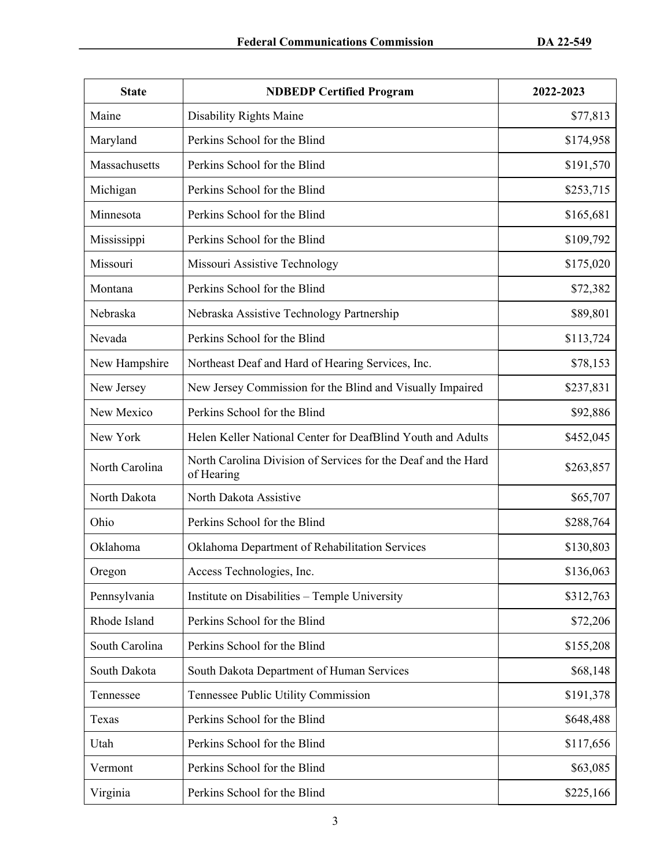| <b>State</b>   | <b>NDBEDP Certified Program</b>                                             | 2022-2023 |
|----------------|-----------------------------------------------------------------------------|-----------|
| Maine          | <b>Disability Rights Maine</b>                                              | \$77,813  |
| Maryland       | Perkins School for the Blind                                                | \$174,958 |
| Massachusetts  | Perkins School for the Blind                                                | \$191,570 |
| Michigan       | Perkins School for the Blind                                                | \$253,715 |
| Minnesota      | Perkins School for the Blind                                                | \$165,681 |
| Mississippi    | Perkins School for the Blind                                                | \$109,792 |
| Missouri       | Missouri Assistive Technology                                               | \$175,020 |
| Montana        | Perkins School for the Blind                                                | \$72,382  |
| Nebraska       | Nebraska Assistive Technology Partnership                                   | \$89,801  |
| Nevada         | Perkins School for the Blind                                                | \$113,724 |
| New Hampshire  | Northeast Deaf and Hard of Hearing Services, Inc.                           | \$78,153  |
| New Jersey     | New Jersey Commission for the Blind and Visually Impaired                   | \$237,831 |
| New Mexico     | Perkins School for the Blind                                                | \$92,886  |
| New York       | Helen Keller National Center for DeafBlind Youth and Adults                 | \$452,045 |
| North Carolina | North Carolina Division of Services for the Deaf and the Hard<br>of Hearing | \$263,857 |
| North Dakota   | North Dakota Assistive                                                      | \$65,707  |
| Ohio           | Perkins School for the Blind                                                | \$288,764 |
| Oklahoma       | Oklahoma Department of Rehabilitation Services                              | \$130,803 |
| Oregon         | Access Technologies, Inc.                                                   | \$136,063 |
| Pennsylvania   | Institute on Disabilities - Temple University                               | \$312,763 |
| Rhode Island   | Perkins School for the Blind                                                | \$72,206  |
| South Carolina | Perkins School for the Blind                                                | \$155,208 |
| South Dakota   | South Dakota Department of Human Services                                   | \$68,148  |
| Tennessee      | Tennessee Public Utility Commission                                         | \$191,378 |
| Texas          | Perkins School for the Blind                                                | \$648,488 |
| Utah           | Perkins School for the Blind                                                | \$117,656 |
| Vermont        | Perkins School for the Blind                                                | \$63,085  |
| Virginia       | Perkins School for the Blind                                                | \$225,166 |